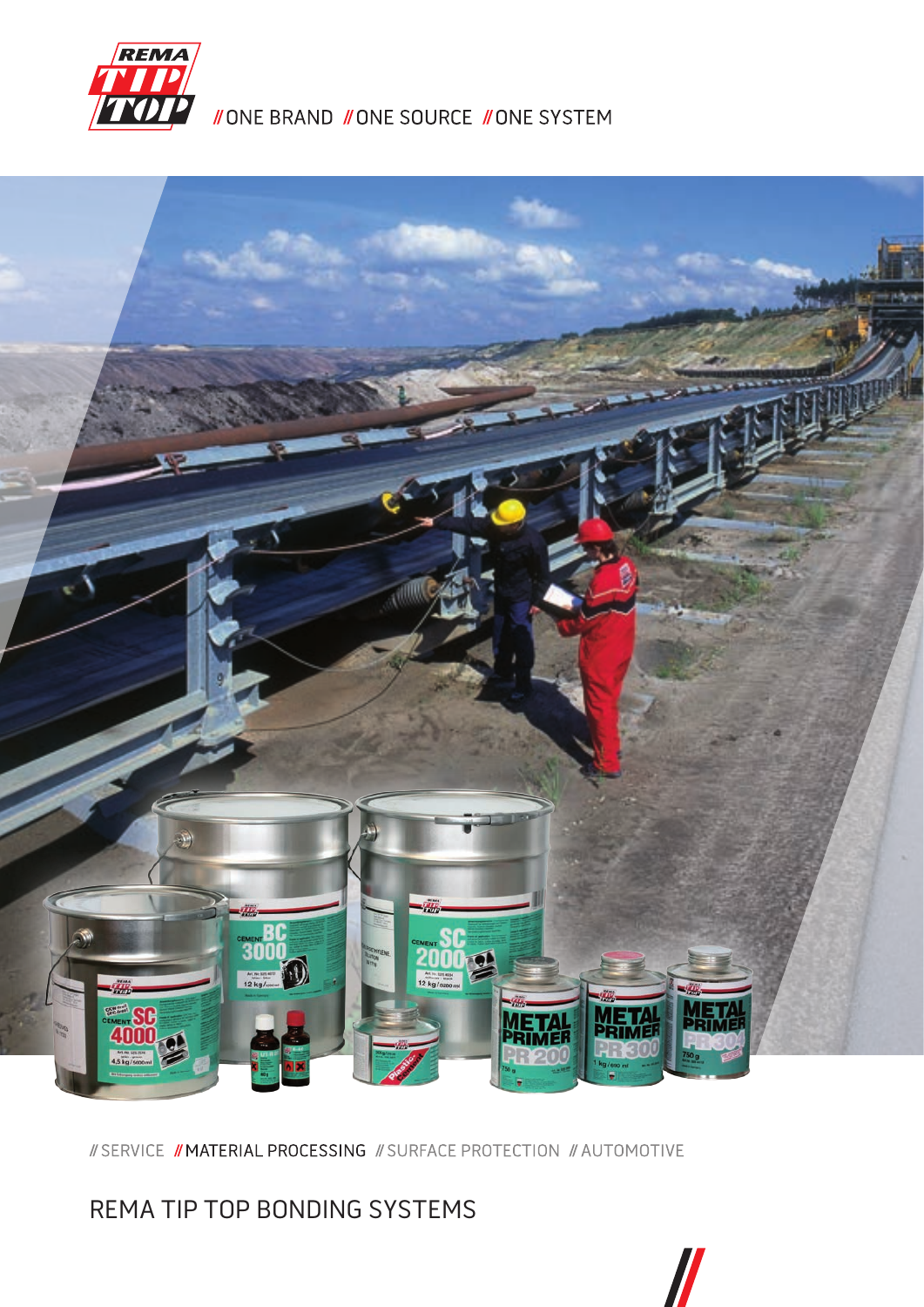

**//ONE BRAND //ONE SOURCE //ONE SYSTEM** 



// SERVICE // MATERIAL PROCESSING // SURFACE PROTECTION // AUTOMOTIVE

REMA TIP TOP BONDING SYSTEMS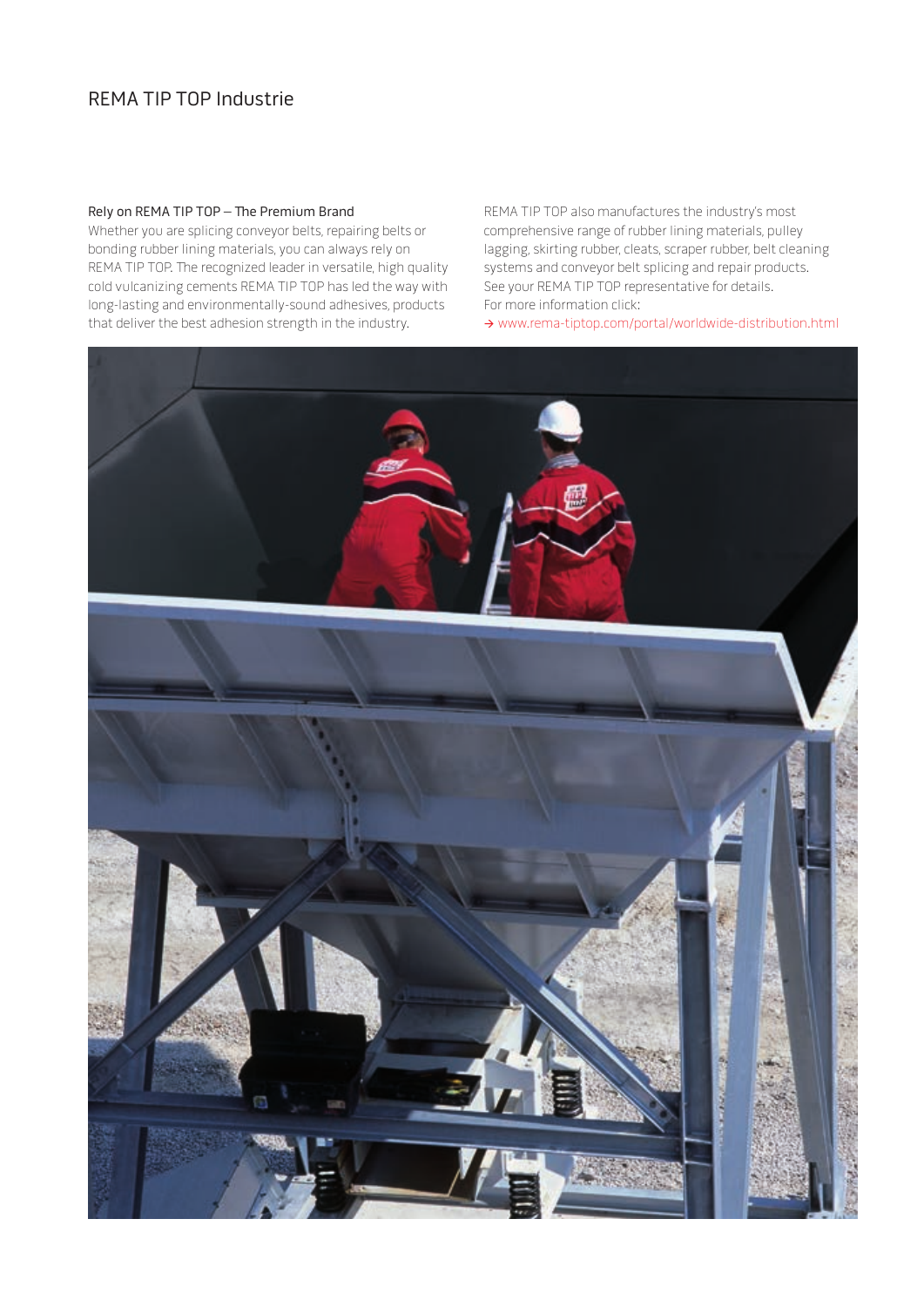# REMA TIP TOP Industrie

### Rely on REMA TIP TOP – The Premium Brand

Whether you are splicing conveyor belts, repairing belts or bonding rubber lining materials, you can always rely on REMA TIP TOP. The recognized leader in versatile, high quality cold vulcanizing cements REMA TIP TOP has led the way with long-lasting and environmentally-sound adhesives, products that deliver the best adhesion strength in the industry.

REMA TIP TOP also manufactures the industry's most comprehensive range of rubber lining materials, pulley lagging, skirting rubber, cleats, scraper rubber, belt cleaning systems and conveyor belt splicing and repair products. See your REMA TIP TOP representative for details. For more information click:

www.rema-tiptop.com/portal/worldwide-distribution.html

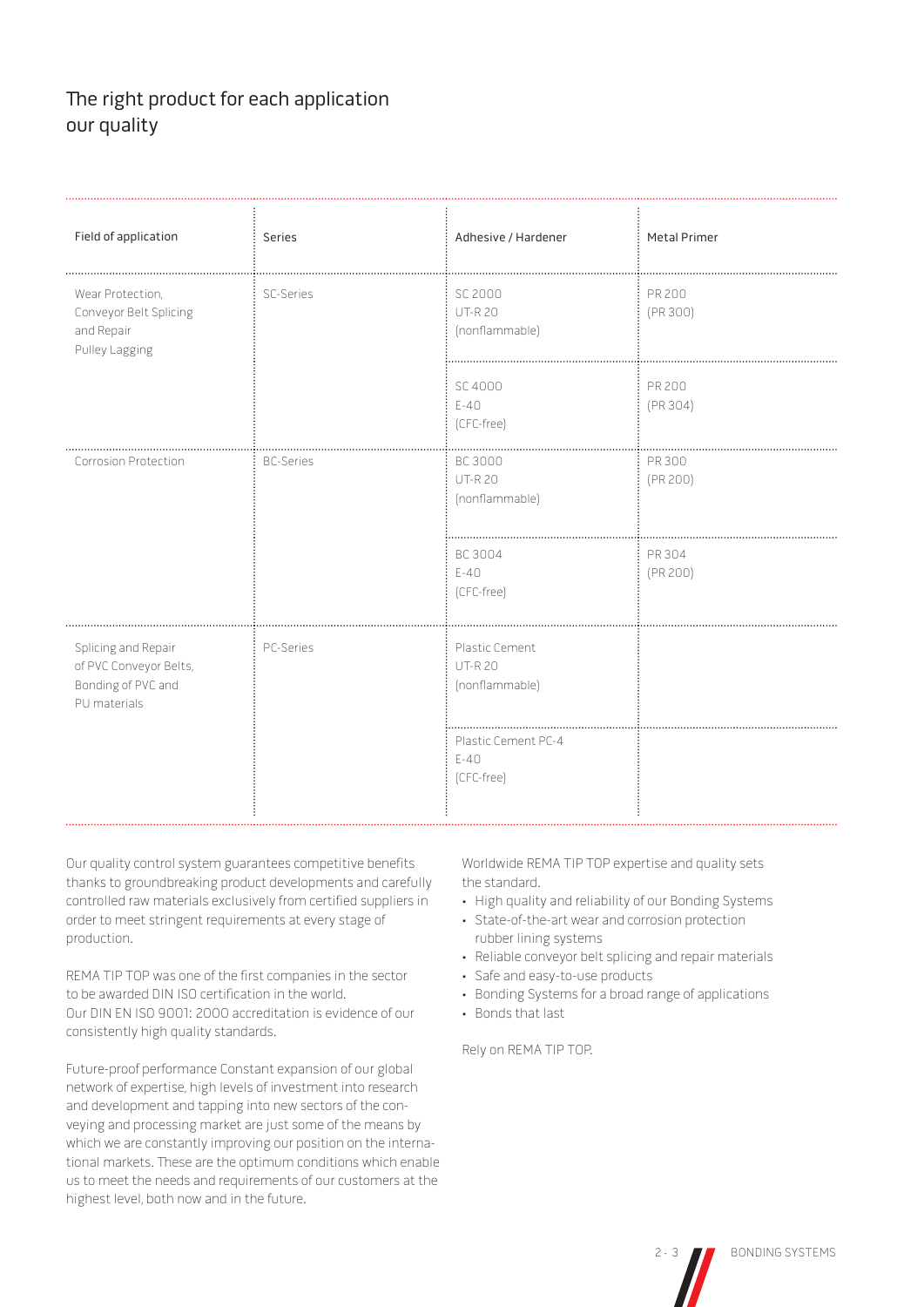# The right product for each application our quality

| Field of application                                                                | Series           | Adhesive / Hardener                               | <b>Metal Primer</b> |
|-------------------------------------------------------------------------------------|------------------|---------------------------------------------------|---------------------|
| Wear Protection,<br>Conveyor Belt Splicing<br>and Repair<br>Pulley Lagging          | <b>SC-Series</b> | SC 2000<br><b>UT-R20</b><br>(nonflammable)        | PR 200<br>(PR 300)  |
|                                                                                     |                  | SC 4000<br>$E-40$<br>(CFC-free)                   | PR 200<br>(PR 304)  |
| Corrosion Protection                                                                | <b>BC-Series</b> | <b>BC 3000</b><br><b>UT-R20</b><br>(nonflammable) | PR 300<br>(PR 200)  |
|                                                                                     |                  | BC 3004<br>$E-40$<br>(CFC-free)                   | PR 304<br>(PR 200)  |
| Splicing and Repair<br>of PVC Conveyor Belts,<br>Bonding of PVC and<br>PU materials | PC-Series        | Plastic Cement<br><b>UT-R20</b><br>(nonflammable) |                     |
|                                                                                     |                  | Plastic Cement PC-4<br>$E-40$<br>(CFC-free)       |                     |

Our quality control system guarantees competitive benefits thanks to groundbreaking product developments and carefully controlled raw materials exclusively from certified suppliers in order to meet stringent requirements at every stage of production.

REMA TIP TOP was one of the first companies in the sector to be awarded DIN ISO certification in the world. Our DIN EN ISO 9001: 2000 accreditation is evidence of our consistently high quality standards.

Future-proof performance Constant expansion of our global network of expertise, high levels of investment into research and development and tapping into new sectors of the conveying and processing market are just some of the means by which we are constantly improving our position on the international markets. These are the optimum conditions which enable us to meet the needs and requirements of our customers at the highest level, both now and in the future.

Worldwide REMA TIP TOP expertise and quality sets the standard.

- High quality and reliability of our Bonding Systems
- State-of-the-art wear and corrosion protection rubber lining systems
- Reliable conveyor belt splicing and repair materials
- Safe and easy-to-use products
- Bonding Systems for a broad range of applications
- Bonds that last

Rely on REMA TIP TOP.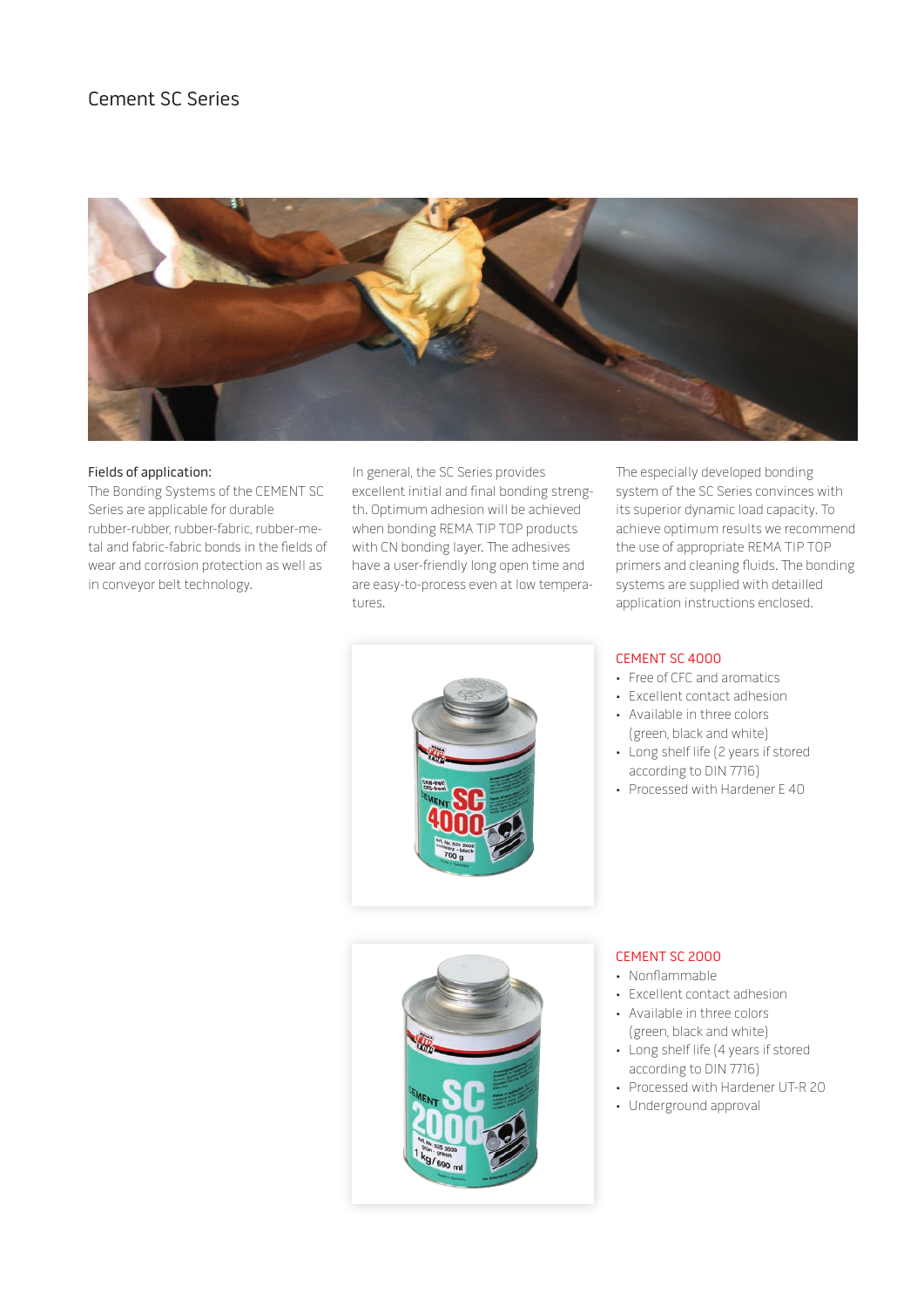# Cement SC Series



#### Fields of application:

The Bonding Systems of the CEMENT SC Series are applicable for durable rubber-rubber, rubber-fabric, rubber-metal and fabric-fabric bonds in the fields of wear and corrosion protection as well as in conveyor belt technology.

In general, the SC Series provides excellent initial and final bonding strength. Optimum adhesion will be achieved when bonding REMA TIP TOP products with CN bonding layer. The adhesives have a user-friendly long open time and are easy-to-process even at low temperatures.

The especially developed bonding system of the SC Series convinces with its superior dynamic load capacity. To achieve optimum results we recommend the use of appropriate REMA TIP TOP primers and cleaning fluids. The bonding systems are supplied with detailled application instructions enclosed.



# CEMENT SC 4000

- Free of CFC and aromatics
- Excellent contact adhesion
- Available in three colors (green, black and white)
- Long shelf life (2 years if stored according to DIN 7716)
- Processed with Hardener E 40



#### CEMENT SC 2000

- Nonflammable
- Excellent contact adhesion
- Available in three colors (green, black and white)
- Long shelf life (4 years if stored according to DIN 7716)
- Processed with Hardener UT-R 20
- Underground approval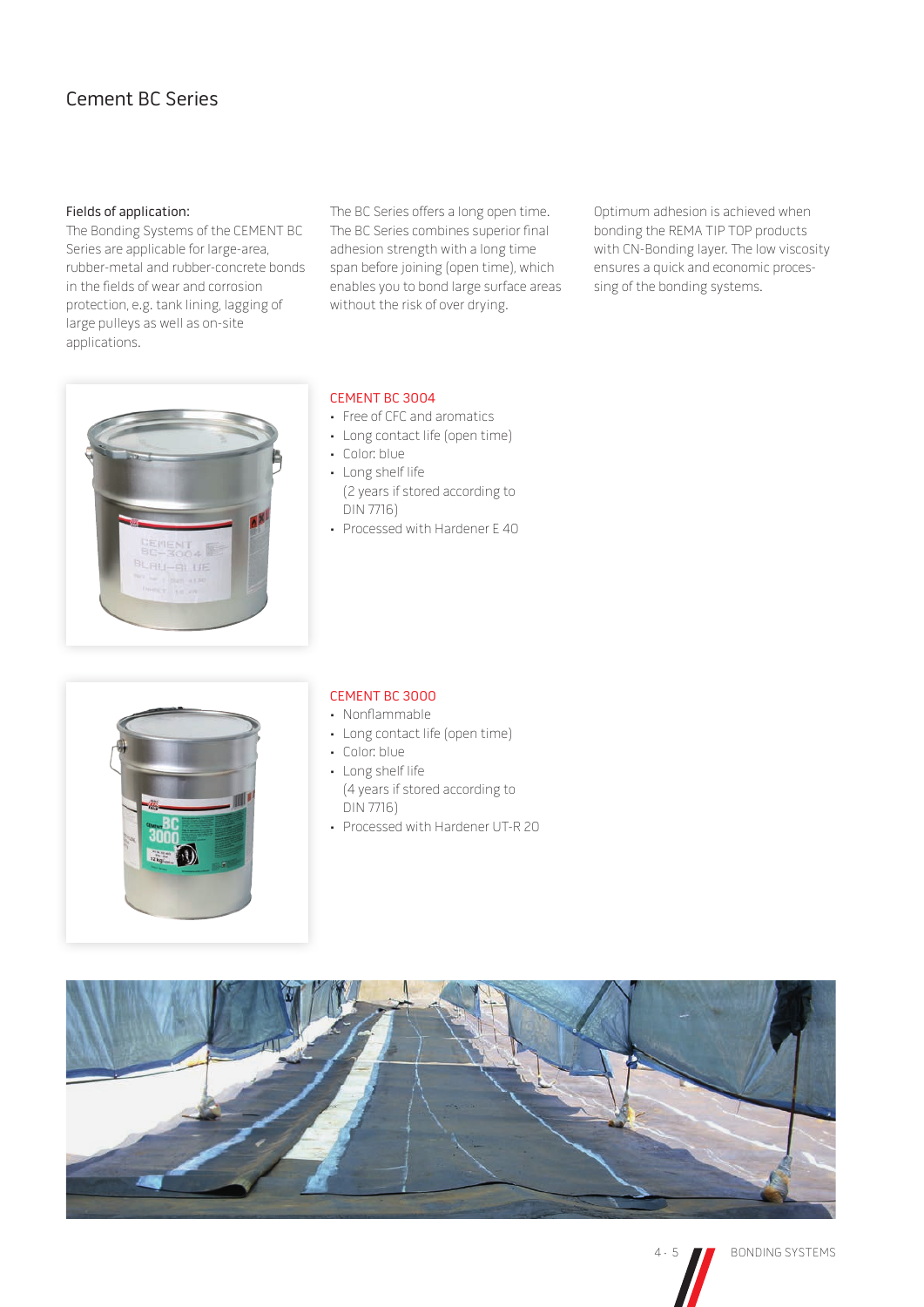# Cement BC Series

### Fields of application:

The Bonding Systems of the CEMENT BC Series are applicable for large-area, rubber-metal and rubber-concrete bonds in the fields of wear and corrosion protection, e.g. tank lining, lagging of large pulleys as well as on-site applications.

The BC Series offers a long open time. The BC Series combines superior final adhesion strength with a long time span before joining (open time), which enables you to bond large surface areas without the risk of over drying.

Optimum adhesion is achieved when bonding the REMA TIP TOP products with CN-Bonding layer. The low viscosity ensures a quick and economic processing of the bonding systems.



# CEMENT BC 3004

- Free of CFC and aromatics
- Long contact life (open time)
- Color: blue
- Long shelf life (2 years if stored according to DIN 7716)
- Processed with Hardener E 40



#### CEMENT BC 3000

- Nonflammable
- Long contact life (open time)
- Color: blue
- Long shelf life (4 years if stored according to DIN 7716)
- Processed with Hardener UT-R 20

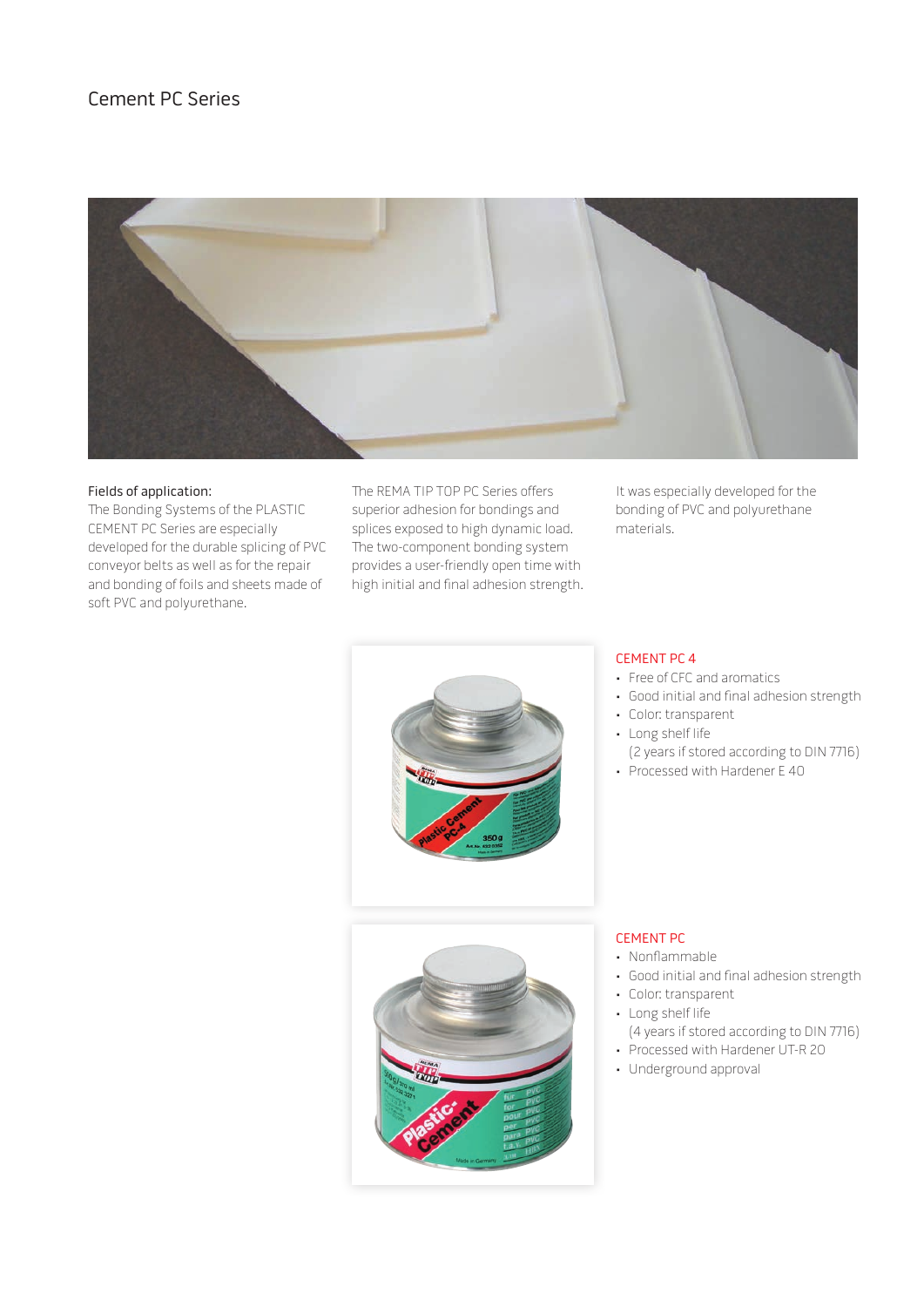# Cement PC Series



#### Fields of application:

The Bonding Systems of the PLASTIC CEMENT PC Series are especially developed for the durable splicing of PVC conveyor belts as well as for the repair and bonding of foils and sheets made of soft PVC and polyurethane.

The REMA TIP TOP PC Series offers superior adhesion for bondings and splices exposed to high dynamic load. The two-component bonding system provides a user-friendly open time with high initial and final adhesion strength.

It was especially developed for the bonding of PVC and polyurethane materials.



# CEMENT PC 4

- Free of CFC and aromatics
- Good initial and final adhesion strength
- Color: transparent
- Long shelf life
	- (2 years if stored according to DIN 7716)
- Processed with Hardener E 40



#### CEMENT PC

- Nonflammable
- Good initial and final adhesion strength
- Color: transparent
- Long shelf life
- (4 years if stored according to DIN 7716) • Processed with Hardener UT-R 20
- Underground approval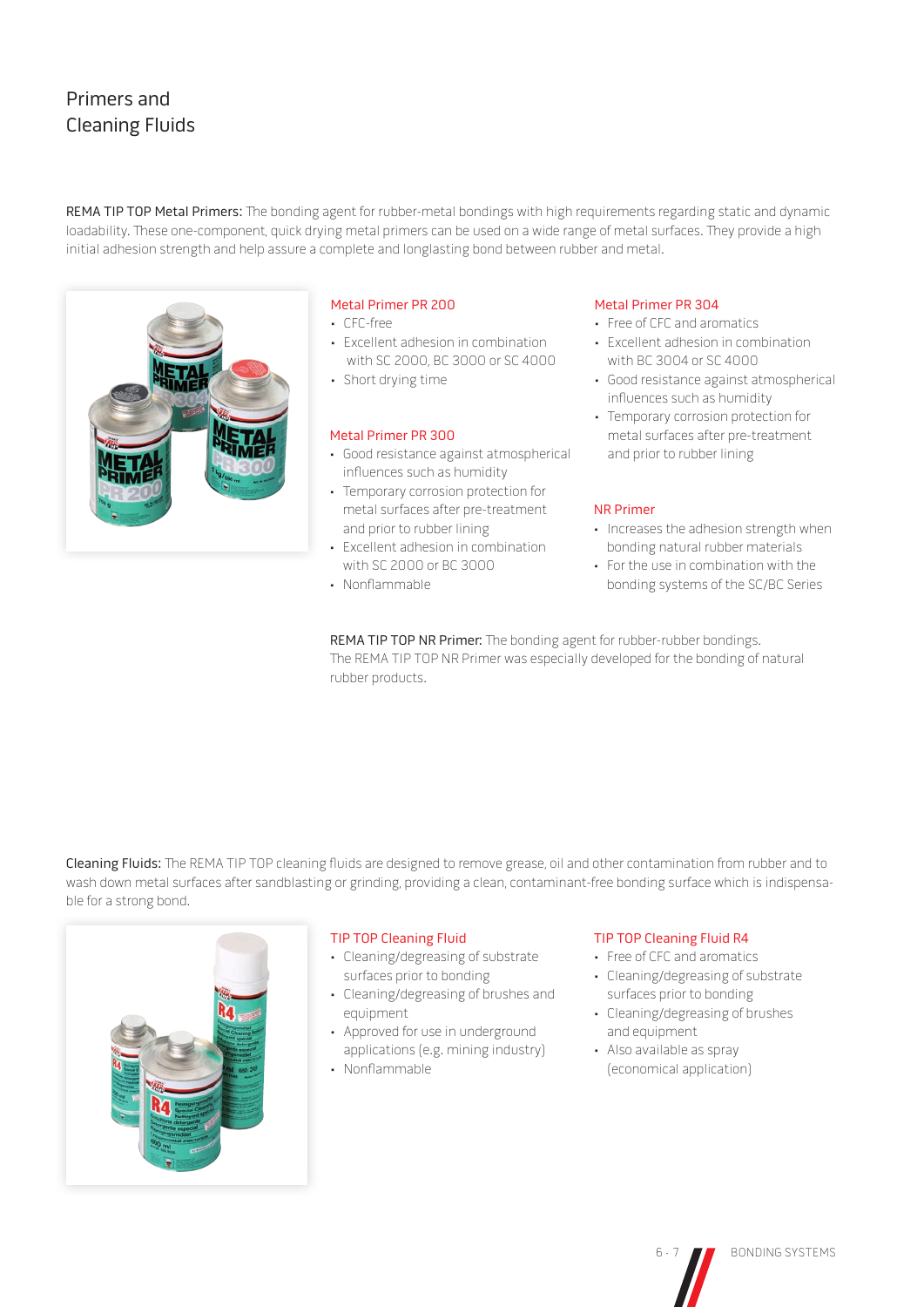# Primers and Cleaning Fluids

REMA TIP TOP Metal Primers: The bonding agent for rubber-metal bondings with high requirements regarding static and dynamic loadability. These one-component, quick drying metal primers can be used on a wide range of metal surfaces. They provide a high initial adhesion strength and help assure a complete and longlasting bond between rubber and metal.



### Metal Primer PR 200

- CFC-free
- Excellent adhesion in combination with SC 2000, BC 3000 or SC 4000
- Short drying time

#### Metal Primer PR 300

- Good resistance against atmospherical influences such as humidity
- Temporary corrosion protection for metal surfaces after pre-treatment and prior to rubber lining
- Excellent adhesion in combination with SC 2000 or BC 3000
- Nonflammable

#### Metal Primer PR 304

- Free of CFC and aromatics
- Excellent adhesion in combination with BC 3004 or SC 4000
- Good resistance against atmospherical influences such as humidity
- Temporary corrosion protection for metal surfaces after pre-treatment and prior to rubber lining

#### NR Primer

- Increases the adhesion strength when bonding natural rubber materials
- For the use in combination with the bonding systems of the SC/BC Series

REMA TIP TOP NR Primer: The bonding agent for rubber-rubber bondings. The REMA TIP TOP NR Primer was especially developed for the bonding of natural rubber products.

Cleaning Fluids: The REMA TIP TOP cleaning fluids are designed to remove grease, oil and other contamination from rubber and to wash down metal surfaces after sandblasting or grinding, providing a clean, contaminant-free bonding surface which is indispensable for a strong bond.



#### TIP TOP Cleaning Fluid

- Cleaning/degreasing of substrate surfaces prior to bonding
- Cleaning/degreasing of brushes and equipment
- Approved for use in underground applications (e.g. mining industry)
- Nonflammable

### TIP TOP Cleaning Fluid R4

- Free of CFC and aromatics
- Cleaning/degreasing of substrate surfaces prior to bonding
- Cleaning/degreasing of brushes and equipment
- Also available as spray (economical application)